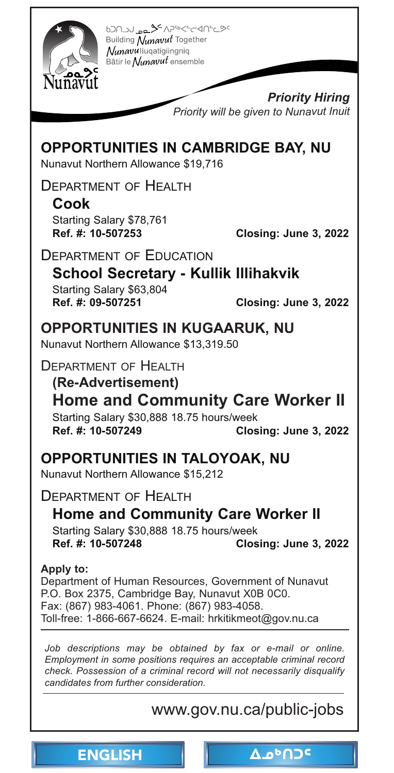<span id="page-0-0"></span>

620-2015-2016 24 ag. LCOCO Building Nunavut Together Nunavuliuqatigiingniq Bâtir le Nunavut ensemble

> *Priority Hiring Priority will be given to Nunavut Inuit*

## **OPPORTUNITIES IN CAMBRIDGE BAY, NU**

Nunavut Northern Allowance \$19,716

DEPARTMENT OF HEALTH

**Cook**  Starting Salary \$78,761<br>Ref. #: 10-507253

**Ref. #: 10-507253 Closing: June 3, 2022** 

#### DEPARTMENT OF EDUCATION

**School Secretary - Kullik Illihakvik** 

Starting Salary \$63,804 **Ref. #: 09-507251 Closing: June 3, 2022** 

# **OPPORTUNITIES IN KUGAARUK, NU**

Nunavut Northern Allowance \$13,319.50

DEPARTMENT OF HEALTH

**(Re-Advertisement) [Home and Community Care Worker II](https://www.gov.nu.ca/public-jobs)**  Starting Salary \$30,888 18.75 hours/week **Ref. #: 10-507249 Closing: June 3, 2022** 

### **OPPORTUNITIES IN TALOYOAK, NU**

Nunavut Northern Allowance \$15,212

DEPARTMENT OF HEALTH

**Home and Community Care Worker II** 

Starting Salary \$30,888 18.75 hours/week<br>Ref. #: 10-507248 Clos **Ref. #: 10-507248 Closing: June 3, 2022** 

**Apply to:**  Department of Human Resources, Government of Nunavut P.O. Box 2375, Cambridge Bay, Nunavut X0B 0C0. Fax: (867) 983-4061. Phone: (867) 983-4058. Toll-free: 1-866-667-6624. E-mail: hrkitikmeot@gov.nu.ca

Job descriptions may be obtained by fax or e-mail or online. *Employment in some positions requires an acceptable criminal record check. Possession of a criminal record will not necessarily disqualify candidates from further consideration.*

## www.gov.nu.ca/public-jobs